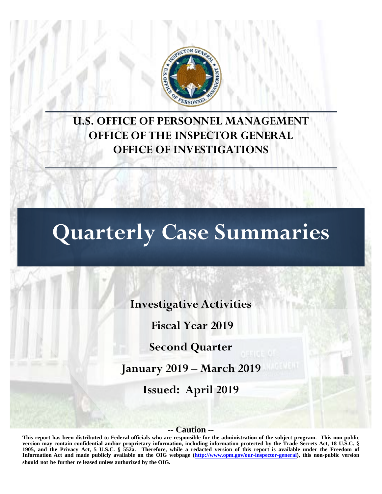

# **U.S. OFFICE OF PERSONNEL MANAGEMENT OFFICE OF THE INSPECTOR GENERAL OFFICE OF INVESTIGATIONS**

# **Quarterly Case Summaries**

**Investigative Activities** 

**Fiscal Year 2019**

**Second Quarter**

**January 2019 – March 2019** 

**Issued: April 2019**

#### **-- Caution --**

**This report has been distributed to Federal officials who are responsible for the administration of the subject program. This non-public version may contain confidential and/or proprietary information, including information protected by the Trade Secrets Act, 18 U.S.C. § 1905, and the Privacy Act, 5 U.S.C. § 552a. Therefore, while a redacted version of this report is available under the Freedom of Information Act and made publicly available on the OIG webpage [\(http://www.opm.gov/our-inspector-general\),](http://www.opm.gov/our-inspector-general) this non-public version should not be further re leased unless authorized by the OIG.**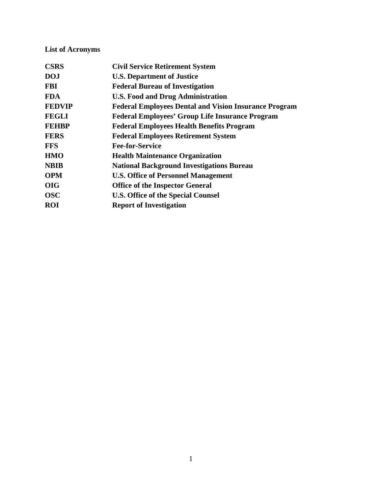# **List of Acronyms**

| <b>CSRS</b>   | <b>Civil Service Retirement System</b>                       |
|---------------|--------------------------------------------------------------|
| <b>DOJ</b>    | <b>U.S. Department of Justice</b>                            |
| <b>FBI</b>    | <b>Federal Bureau of Investigation</b>                       |
| <b>FDA</b>    | <b>U.S. Food and Drug Administration</b>                     |
| <b>FEDVIP</b> | <b>Federal Employees Dental and Vision Insurance Program</b> |
| <b>FEGLI</b>  | <b>Federal Employees' Group Life Insurance Program</b>       |
| <b>FEHBP</b>  | <b>Federal Employees Health Benefits Program</b>             |
| <b>FERS</b>   | <b>Federal Employees Retirement System</b>                   |
| <b>FFS</b>    | <b>Fee-for-Service</b>                                       |
| <b>HMO</b>    | <b>Health Maintenance Organization</b>                       |
| <b>NBIB</b>   | <b>National Background Investigations Bureau</b>             |
| <b>OPM</b>    | <b>U.S. Office of Personnel Management</b>                   |
| <b>OIG</b>    | <b>Office of the Inspector General</b>                       |
| <b>OSC</b>    | <b>U.S. Office of the Special Counsel</b>                    |
| <b>ROI</b>    | <b>Report of Investigation</b>                               |
|               |                                                              |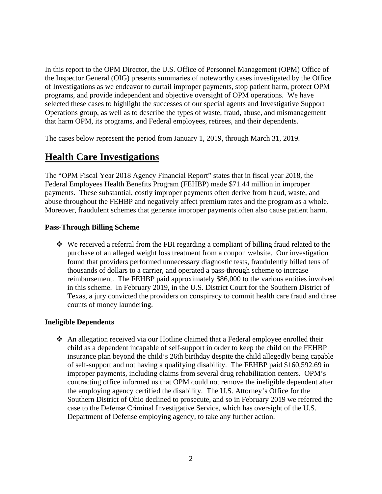In this report to the OPM Director, the U.S. Office of Personnel Management (OPM) Office of the Inspector General (OIG) presents summaries of noteworthy cases investigated by the Office of Investigations as we endeavor to curtail improper payments, stop patient harm, protect OPM programs, and provide independent and objective oversight of OPM operations. We have selected these cases to highlight the successes of our special agents and Investigative Support Operations group, as well as to describe the types of waste, fraud, abuse, and mismanagement that harm OPM, its programs, and Federal employees, retirees, and their dependents.

The cases below represent the period from January 1, 2019, through March 31, 2019.

# **Health Care Investigations**

The "OPM Fiscal Year 2018 Agency Financial Report" states that in fiscal year 2018, the Federal Employees Health Benefits Program (FEHBP) made \$71.44 million in improper payments. These substantial, costly improper payments often derive from fraud, waste, and abuse throughout the FEHBP and negatively affect premium rates and the program as a whole. Moreover, fraudulent schemes that generate improper payments often also cause patient harm.

#### **Pass-Through Billing Scheme**

 We received a referral from the FBI regarding a compliant of billing fraud related to the purchase of an alleged weight loss treatment from a coupon website. Our investigation found that providers performed unnecessary diagnostic tests, fraudulently billed tens of thousands of dollars to a carrier, and operated a pass-through scheme to increase reimbursement. The FEHBP paid approximately \$86,000 to the various entities involved in this scheme. In February 2019, in the U.S. District Court for the Southern District of Texas, a jury convicted the providers on conspiracy to commit health care fraud and three counts of money laundering.

#### **Ineligible Dependents**

◆ An allegation received via our Hotline claimed that a Federal employee enrolled their child as a dependent incapable of self-support in order to keep the child on the FEHBP insurance plan beyond the child's 26th birthday despite the child allegedly being capable of self-support and not having a qualifying disability. The FEHBP paid \$160,592.69 in improper payments, including claims from several drug rehabilitation centers. OPM's contracting office informed us that OPM could not remove the ineligible dependent after the employing agency certified the disability. The U.S. Attorney's Office for the Southern District of Ohio declined to prosecute, and so in February 2019 we referred the case to the Defense Criminal Investigative Service, which has oversight of the U.S. Department of Defense employing agency, to take any further action.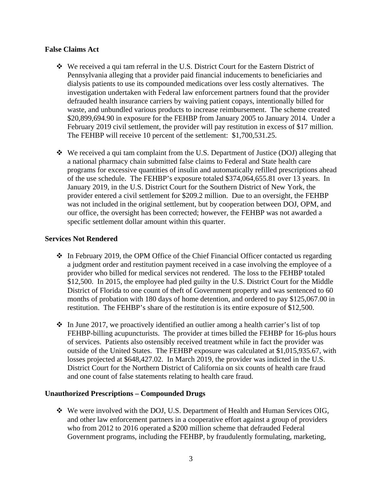#### **False Claims Act**

- $\div$  We received a qui tam referral in the U.S. District Court for the Eastern District of Pennsylvania alleging that a provider paid financial inducements to beneficiaries and dialysis patients to use its compounded medications over less costly alternatives. The investigation undertaken with Federal law enforcement partners found that the provider defrauded health insurance carriers by waiving patient copays, intentionally billed for waste, and unbundled various products to increase reimbursement. The scheme created \$20,899,694.90 in exposure for the FEHBP from January 2005 to January 2014. Under a February 2019 civil settlement, the provider will pay restitution in excess of \$17 million. The FEHBP will receive 10 percent of the settlement: \$1,700,531.25.
- $\mathbf{\hat{P}}$  We received a qui tam complaint from the U.S. Department of Justice (DOJ) alleging that a national pharmacy chain submitted false claims to Federal and State health care programs for excessive quantities of insulin and automatically refilled prescriptions ahead of the use schedule. The FEHBP's exposure totaled \$374,064,655.81 over 13 years. In January 2019, in the U.S. District Court for the Southern District of New York, the provider entered a civil settlement for \$209.2 million. Due to an oversight, the FEHBP was not included in the original settlement, but by cooperation between DOJ, OPM, and our office, the oversight has been corrected; however, the FEHBP was not awarded a specific settlement dollar amount within this quarter.

#### **Services Not Rendered**

- $\cdot$  In February 2019, the OPM Office of the Chief Financial Officer contacted us regarding a judgment order and restitution payment received in a case involving the employee of a provider who billed for medical services not rendered. The loss to the FEHBP totaled \$12,500. In 2015, the employee had pled guilty in the U.S. District Court for the Middle District of Florida to one count of theft of Government property and was sentenced to 60 months of probation with 180 days of home detention, and ordered to pay \$125,067.00 in restitution. The FEHBP's share of the restitution is its entire exposure of \$12,500.
- $\div$  In June 2017, we proactively identified an outlier among a health carrier's list of top FEHBP-billing acupuncturists. The provider at times billed the FEHBP for 16-plus hours of services. Patients also ostensibly received treatment while in fact the provider was outside of the United States. The FEHBP exposure was calculated at \$1,015,935.67, with losses projected at \$648,427.02. In March 2019, the provider was indicted in the U.S. District Court for the Northern District of California on six counts of health care fraud and one count of false statements relating to health care fraud.

#### **Unauthorized Prescriptions – Compounded Drugs**

 $\div$  We were involved with the DOJ, U.S. Department of Health and Human Services OIG, and other law enforcement partners in a cooperative effort against a group of providers who from 2012 to 2016 operated a \$200 million scheme that defrauded Federal Government programs, including the FEHBP, by fraudulently formulating, marketing,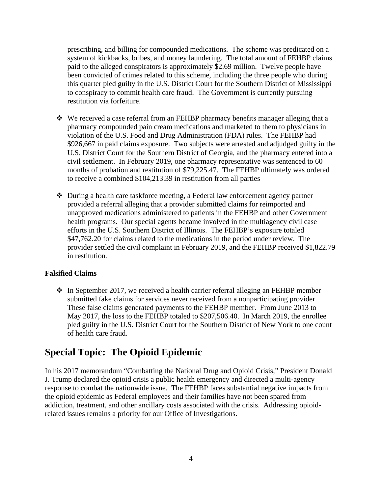prescribing, and billing for compounded medications. The scheme was predicated on a system of kickbacks, bribes, and money laundering. The total amount of FEHBP claims paid to the alleged conspirators is approximately \$2.69 million. Twelve people have been convicted of crimes related to this scheme, including the three people who during this quarter pled guilty in the U.S. District Court for the Southern District of Mississippi to conspiracy to commit health care fraud. The Government is currently pursuing restitution via forfeiture.

- We received a case referral from an FEHBP pharmacy benefits manager alleging that a pharmacy compounded pain cream medications and marketed to them to physicians in violation of the U.S. Food and Drug Administration (FDA) rules. The FEHBP had \$926,667 in paid claims exposure. Two subjects were arrested and adjudged guilty in the U.S. District Court for the Southern District of Georgia, and the pharmacy entered into a civil settlement. In February 2019, one pharmacy representative was sentenced to 60 months of probation and restitution of \$79,225.47. The FEHBP ultimately was ordered to receive a combined \$104,213.39 in restitution from all parties
- During a health care taskforce meeting, a Federal law enforcement agency partner provided a referral alleging that a provider submitted claims for reimported and unapproved medications administered to patients in the FEHBP and other Government health programs. Our special agents became involved in the multiagency civil case efforts in the U.S. Southern District of Illinois. The FEHBP's exposure totaled \$47,762.20 for claims related to the medications in the period under review. The provider settled the civil complaint in February 2019, and the FEHBP received \$1,822.79 in restitution.

#### **Falsified Claims**

 $\div$  In September 2017, we received a health carrier referral alleging an FEHBP member submitted fake claims for services never received from a nonparticipating provider. These false claims generated payments to the FEHBP member. From June 2013 to May 2017, the loss to the FEHBP totaled to \$207,506.40. In March 2019, the enrollee pled guilty in the U.S. District Court for the Southern District of New York to one count of health care fraud.

# **Special Topic: The Opioid Epidemic**

In his 2017 memorandum "Combatting the National Drug and Opioid Crisis," President Donald J. Trump declared the opioid crisis a public health emergency and directed a multi-agency response to combat the nationwide issue. The FEHBP faces substantial negative impacts from the opioid epidemic as Federal employees and their families have not been spared from addiction, treatment, and other ancillary costs associated with the crisis. Addressing opioidrelated issues remains a priority for our Office of Investigations.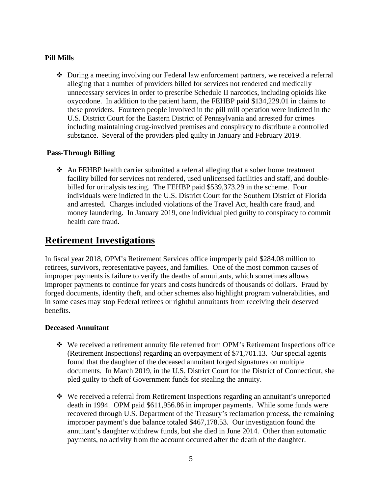#### **Pill Mills**

 During a meeting involving our Federal law enforcement partners, we received a referral alleging that a number of providers billed for services not rendered and medically unnecessary services in order to prescribe Schedule II narcotics, including opioids like oxycodone. In addition to the patient harm, the FEHBP paid \$134,229.01 in claims to these providers. Fourteen people involved in the pill mill operation were indicted in the U.S. District Court for the Eastern District of Pennsylvania and arrested for crimes including maintaining drug-involved premises and conspiracy to distribute a controlled substance. Several of the providers pled guilty in January and February 2019.

#### **Pass-Through Billing**

 An FEHBP health carrier submitted a referral alleging that a sober home treatment facility billed for services not rendered, used unlicensed facilities and staff, and doublebilled for urinalysis testing. The FEHBP paid \$539,373.29 in the scheme. Four individuals were indicted in the U.S. District Court for the Southern District of Florida and arrested. Charges included violations of the Travel Act, health care fraud, and money laundering. In January 2019, one individual pled guilty to conspiracy to commit health care fraud.

# **Retirement Investigations**

In fiscal year 2018, OPM's Retirement Services office improperly paid \$284.08 million to retirees, survivors, representative payees, and families. One of the most common causes of improper payments is failure to verify the deaths of annuitants, which sometimes allows improper payments to continue for years and costs hundreds of thousands of dollars. Fraud by forged documents, identity theft, and other schemes also highlight program vulnerabilities, and in some cases may stop Federal retirees or rightful annuitants from receiving their deserved benefits.

#### **Deceased Annuitant**

- We received a retirement annuity file referred from OPM's Retirement Inspections office (Retirement Inspections) regarding an overpayment of \$71,701.13. Our special agents found that the daughter of the deceased annuitant forged signatures on multiple documents. In March 2019, in the U.S. District Court for the District of Connecticut, she pled guilty to theft of Government funds for stealing the annuity.
- We received a referral from Retirement Inspections regarding an annuitant's unreported death in 1994. OPM paid \$611,956.86 in improper payments. While some funds were recovered through U.S. Department of the Treasury's reclamation process, the remaining improper payment's due balance totaled \$467,178.53. Our investigation found the annuitant's daughter withdrew funds, but she died in June 2014. Other than automatic payments, no activity from the account occurred after the death of the daughter.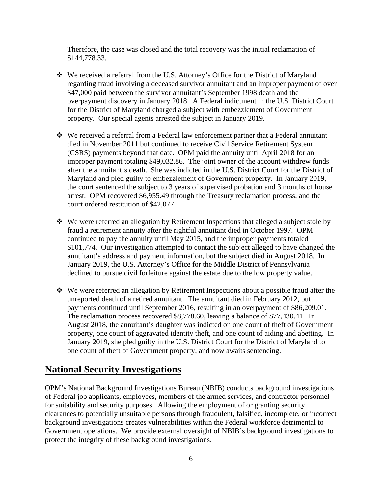Therefore, the case was closed and the total recovery was the initial reclamation of \$144,778.33.

- We received a referral from the U.S. Attorney's Office for the District of Maryland regarding fraud involving a deceased survivor annuitant and an improper payment of over \$47,000 paid between the survivor annuitant's September 1998 death and the overpayment discovery in January 2018. A Federal indictment in the U.S. District Court for the District of Maryland charged a subject with embezzlement of Government property. Our special agents arrested the subject in January 2019.
- We received a referral from a Federal law enforcement partner that a Federal annuitant died in November 2011 but continued to receive Civil Service Retirement System (CSRS) payments beyond that date. OPM paid the annuity until April 2018 for an improper payment totaling \$49,032.86. The joint owner of the account withdrew funds after the annuitant's death. She was indicted in the U.S. District Court for the District of Maryland and pled guilty to embezzlement of Government property. In January 2019, the court sentenced the subject to 3 years of supervised probation and 3 months of house arrest. OPM recovered \$6,955.49 through the Treasury reclamation process, and the court ordered restitution of \$42,077.
- We were referred an allegation by Retirement Inspections that alleged a subject stole by fraud a retirement annuity after the rightful annuitant died in October 1997. OPM continued to pay the annuity until May 2015, and the improper payments totaled \$101,774. Our investigation attempted to contact the subject alleged to have changed the annuitant's address and payment information, but the subject died in August 2018. In January 2019, the U.S. Attorney's Office for the Middle District of Pennsylvania declined to pursue civil forfeiture against the estate due to the low property value.
- We were referred an allegation by Retirement Inspections about a possible fraud after the unreported death of a retired annuitant. The annuitant died in February 2012, but payments continued until September 2016, resulting in an overpayment of \$86,209.01. The reclamation process recovered \$8,778.60, leaving a balance of \$77,430.41. In August 2018, the annuitant's daughter was indicted on one count of theft of Government property, one count of aggravated identity theft, and one count of aiding and abetting. In January 2019, she pled guilty in the U.S. District Court for the District of Maryland to one count of theft of Government property, and now awaits sentencing.

# **National Security Investigations**

OPM's National Background Investigations Bureau (NBIB) conducts background investigations of Federal job applicants, employees, members of the armed services, and contractor personnel for suitability and security purposes. Allowing the employment of or granting security clearances to potentially unsuitable persons through fraudulent, falsified, incomplete, or incorrect background investigations creates vulnerabilities within the Federal workforce detrimental to Government operations. We provide external oversight of NBIB's background investigations to protect the integrity of these background investigations.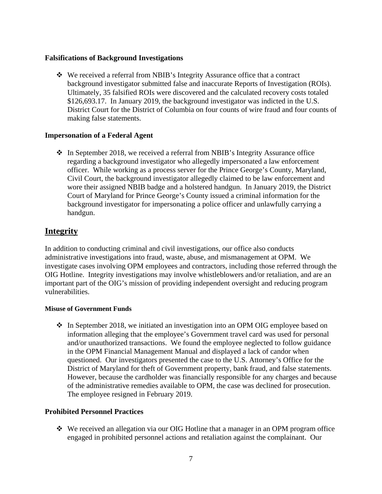#### **Falsifications of Background Investigations**

 We received a referral from NBIB's Integrity Assurance office that a contract background investigator submitted false and inaccurate Reports of Investigation (ROIs). Ultimately, 35 falsified ROIs were discovered and the calculated recovery costs totaled \$126,693.17. In January 2019, the background investigator was indicted in the U.S. District Court for the District of Columbia on four counts of wire fraud and four counts of making false statements.

#### **Impersonation of a Federal Agent**

 $\div$  In September 2018, we received a referral from NBIB's Integrity Assurance office regarding a background investigator who allegedly impersonated a law enforcement officer. While working as a process server for the Prince George's County, Maryland, Civil Court, the background investigator allegedly claimed to be law enforcement and wore their assigned NBIB badge and a holstered handgun. In January 2019, the District Court of Maryland for Prince George's County issued a criminal information for the background investigator for impersonating a police officer and unlawfully carrying a handgun.

### **Integrity**

In addition to conducting criminal and civil investigations, our office also conducts administrative investigations into fraud, waste, abuse, and mismanagement at OPM. We investigate cases involving OPM employees and contractors, including those referred through the OIG Hotline. Integrity investigations may involve whistleblowers and/or retaliation, and are an important part of the OIG's mission of providing independent oversight and reducing program vulnerabilities.

#### **Misuse of Government Funds**

• In September 2018, we initiated an investigation into an OPM OIG employee based on information alleging that the employee's Government travel card was used for personal and/or unauthorized transactions. We found the employee neglected to follow guidance in the OPM Financial Management Manual and displayed a lack of candor when questioned. Our investigators presented the case to the U.S. Attorney's Office for the District of Maryland for theft of Government property, bank fraud, and false statements. However, because the cardholder was financially responsible for any charges and because of the administrative remedies available to OPM, the case was declined for prosecution. The employee resigned in February 2019.

#### **Prohibited Personnel Practices**

 We received an allegation via our OIG Hotline that a manager in an OPM program office engaged in prohibited personnel actions and retaliation against the complainant. Our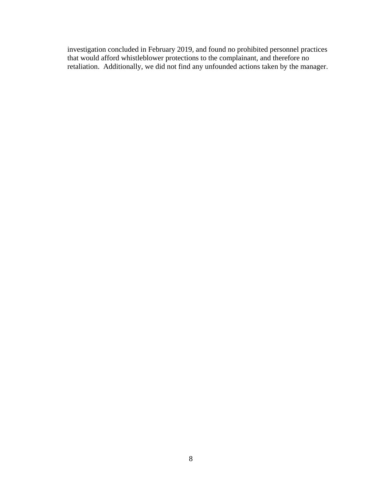investigation concluded in February 2019, and found no prohibited personnel practices that would afford whistleblower protections to the complainant, and therefore no retaliation. Additionally, we did not find any unfounded actions taken by the manager.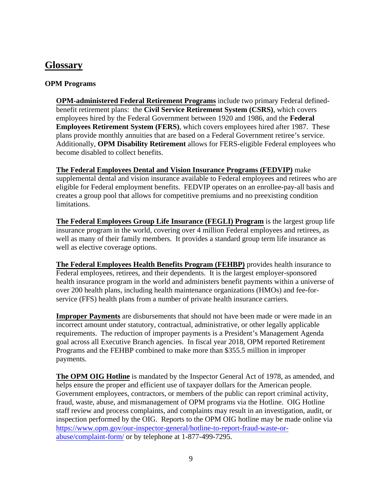# **Glossary**

#### **OPM Programs**

**OPM-administered Federal Retirement Programs** include two primary Federal definedbenefit retirement plans: the **Civil Service Retirement System (CSRS)**, which covers employees hired by the Federal Government between 1920 and 1986, and the **Federal Employees Retirement System (FERS)**, which covers employees hired after 1987. These plans provide monthly annuities that are based on a Federal Government retiree's service. Additionally, **OPM Disability Retirement** allows for FERS-eligible Federal employees who become disabled to collect benefits.

**The Federal Employees Dental and Vision Insurance Programs (FEDVIP)** make supplemental dental and vision insurance available to Federal employees and retirees who are eligible for Federal employment benefits. FEDVIP operates on an enrollee-pay-all basis and creates a group pool that allows for competitive premiums and no preexisting condition limitations.

**The Federal Employees Group Life Insurance (FEGLI) Program** is the largest group life insurance program in the world, covering over 4 million Federal employees and retirees, as well as many of their family members. It provides a standard group term life insurance as well as elective coverage options.

**The Federal Employees Health Benefits Program (FEHBP)** provides health insurance to Federal employees, retirees, and their dependents. It is the largest employer-sponsored health insurance program in the world and administers benefit payments within a universe of over 200 health plans, including health maintenance organizations (HMOs) and fee-forservice (FFS) health plans from a number of private health insurance carriers.

**Improper Payments** are disbursements that should not have been made or were made in an incorrect amount under statutory, contractual, administrative, or other legally applicable requirements. The reduction of improper payments is a President's Management Agenda goal across all Executive Branch agencies. In fiscal year 2018, OPM reported Retirement Programs and the FEHBP combined to make more than \$355.5 million in improper payments.

**The OPM OIG Hotline** is mandated by the Inspector General Act of 1978, as amended, and helps ensure the proper and efficient use of taxpayer dollars for the American people. Government employees, contractors, or members of the public can report criminal activity, fraud, waste, abuse, and mismanagement of OPM programs via the Hotline. OIG Hotline staff review and process complaints, and complaints may result in an investigation, audit, or inspection performed by the OIG. Reports to the OPM OIG hotline may be made online via [https://www.opm.gov/our-inspector-general/hotline-to-report-fraud-waste-or](https://www.opm.gov/our-inspector-general/hotline-to-report-fraud-waste-or-abuse/complaint-form/)[abuse/complaint-form/](https://www.opm.gov/our-inspector-general/hotline-to-report-fraud-waste-or-abuse/complaint-form/) or by telephone at 1-877-499-7295.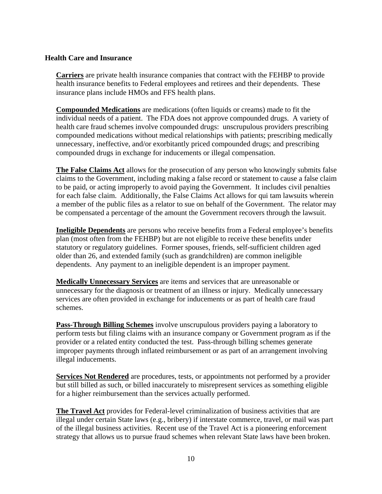#### **Health Care and Insurance**

**Carriers** are private health insurance companies that contract with the FEHBP to provide health insurance benefits to Federal employees and retirees and their dependents. These insurance plans include HMOs and FFS health plans.

**Compounded Medications** are medications (often liquids or creams) made to fit the individual needs of a patient. The FDA does not approve compounded drugs. A variety of health care fraud schemes involve compounded drugs: unscrupulous providers prescribing compounded medications without medical relationships with patients; prescribing medically unnecessary, ineffective, and/or exorbitantly priced compounded drugs; and prescribing compounded drugs in exchange for inducements or illegal compensation.

**The False Claims Act** allows for the prosecution of any person who knowingly submits false claims to the Government, including making a false record or statement to cause a false claim to be paid, or acting improperly to avoid paying the Government. It includes civil penalties for each false claim. Additionally, the False Claims Act allows for qui tam lawsuits wherein a member of the public files as a relator to sue on behalf of the Government. The relator may be compensated a percentage of the amount the Government recovers through the lawsuit.

**Ineligible Dependents** are persons who receive benefits from a Federal employee's benefits plan (most often from the FEHBP) but are not eligible to receive these benefits under statutory or regulatory guidelines. Former spouses, friends, self-sufficient children aged older than 26, and extended family (such as grandchildren) are common ineligible dependents. Any payment to an ineligible dependent is an improper payment.

**Medically Unnecessary Services** are items and services that are unreasonable or unnecessary for the diagnosis or treatment of an illness or injury. Medically unnecessary services are often provided in exchange for inducements or as part of health care fraud schemes.

**Pass-Through Billing Schemes** involve unscrupulous providers paying a laboratory to perform tests but filing claims with an insurance company or Government program as if the provider or a related entity conducted the test. Pass-through billing schemes generate improper payments through inflated reimbursement or as part of an arrangement involving illegal inducements.

**Services Not Rendered** are procedures, tests, or appointments not performed by a provider but still billed as such, or billed inaccurately to misrepresent services as something eligible for a higher reimbursement than the services actually performed.

**The Travel Act** provides for Federal-level criminalization of business activities that are illegal under certain State laws (e.g., bribery) if interstate commerce, travel, or mail was part of the illegal business activities. Recent use of the Travel Act is a pioneering enforcement strategy that allows us to pursue fraud schemes when relevant State laws have been broken.